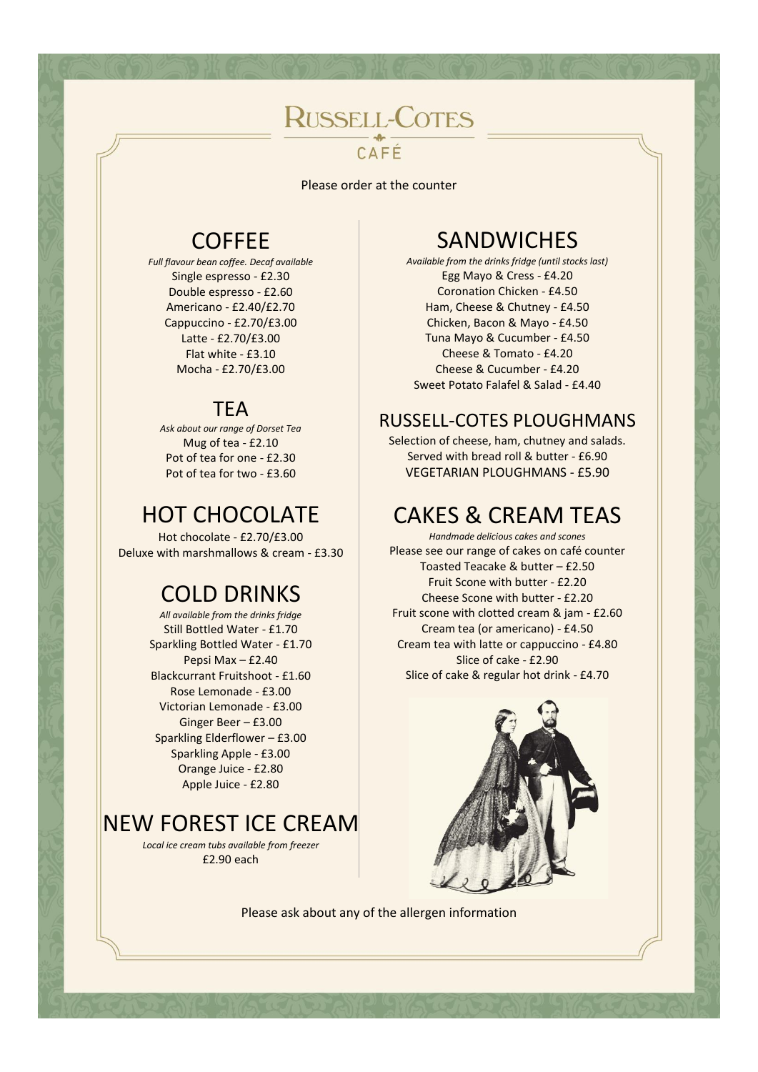# **RUSSELL-COTES** CAFÉ

Please order at the counter

#### COFFEE

*Full flavour bean coffee. Decaf available* Single espresso - £2.30 Double espresso - £2.60 Americano - £2.40/£2.70 Cappuccino - £2.70/£3.00 Latte - £2.70/£3.00 Flat white - £3.10 Mocha - £2.70/£3.00

#### **TEA**

*Ask about our range of Dorset Tea* Mug of tea - £2.10 Pot of tea for one - £2.30 Pot of tea for two - £3.60

# HOT CHOCOLATE

Hot chocolate - £2.70/£3.00 Deluxe with marshmallows & cream - £3.30

#### COLD DRINKS

*All available from the drinks fridge* Still Bottled Water - £1.70 Sparkling Bottled Water - £1.70 Pepsi Max – £2.40 Blackcurrant Fruitshoot - £1.60 Rose Lemonade - £3.00 Victorian Lemonade - £3.00 Ginger Beer – £3.00 Sparkling Elderflower – £3.00 Sparkling Apple - £3.00 Orange Juice - £2.80 Apple Juice - £2.80

# NEW FOREST ICE CREAM

*Local ice cream tubs available from freezer* £2.90 each

#### **SANDWICHES**

*Available from the drinks fridge (until stocks last)* Egg Mayo & Cress - £4.20 Coronation Chicken - £4.50 Ham, Cheese & Chutney - £4.50 Chicken, Bacon & Mayo - £4.50 Tuna Mayo & Cucumber - £4.50 Cheese & Tomato - £4.20 Cheese & Cucumber - £4.20 Sweet Potato Falafel & Salad - £4.40

#### RUSSELL-COTES PLOUGHMANS

Selection of cheese, ham, chutney and salads. Served with bread roll & butter - £6.90 VEGETARIAN PLOUGHMANS - £5.90

# CAKES & CREAM TEAS

*Handmade delicious cakes and scones* Please see our range of cakes on café counter Toasted Teacake & butter – £2.50 Fruit Scone with butter - £2.20 Cheese Scone with butter - £2.20 Fruit scone with clotted cream & jam - £2.60 Cream tea (or americano) - £4.50 Cream tea with latte or cappuccino - £4.80 Slice of cake - £2.90 Slice of cake & regular hot drink - £4.70



Please ask about any of the allergen information